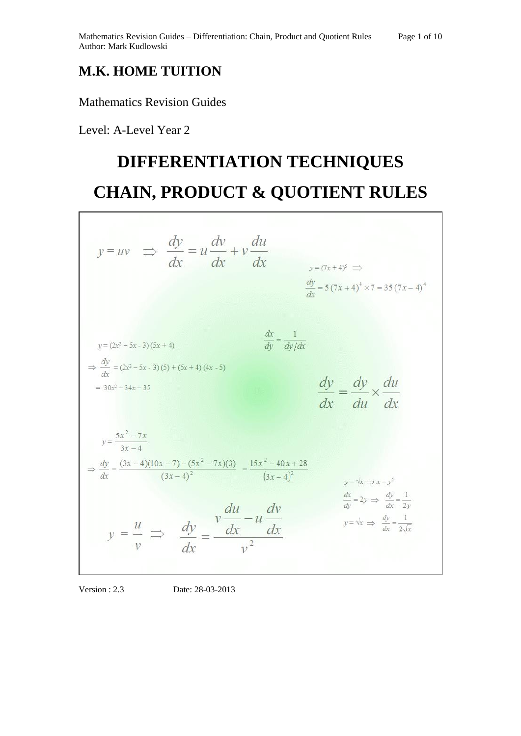## **M.K. HOME TUITION**

Mathematics Revision Guides

Level: A-Level Year 2

# **DIFFERENTIATION TECHNIQUES CHAIN, PRODUCT & QUOTIENT RULES**

| $y = uv \Rightarrow \frac{dy}{dx} = u \frac{dv}{dx} + v \frac{du}{dx}$                                                                                                                                                                          | $y=(7x+4)^5 \implies$<br>$\frac{dy}{dx} = 5(7x+4)^4 \times 7 = 35(7x-4)^4$                                                                                   |  |
|-------------------------------------------------------------------------------------------------------------------------------------------------------------------------------------------------------------------------------------------------|--------------------------------------------------------------------------------------------------------------------------------------------------------------|--|
| $y = (2x^2 - 5x - 3)(5x + 4)$<br>$\Rightarrow \frac{dy}{dx} = (2x^2 - 5x - 3)(5) + (5x + 4)(4x - 5)$<br>$= 30x^2 - 34x - 35$                                                                                                                    | $\frac{dx}{dy} = \frac{1}{dy/dx}$<br>$\frac{dy}{dx} = \frac{dy}{du} \times \frac{du}{dx}$                                                                    |  |
| $y = \frac{5x^2 - 7x}{3x - 4}$<br>$\Rightarrow \frac{dy}{dx} = \frac{(3x-4)(10x-7) - (5x^2 - 7x)(3)}{(3x-4)^2} = \frac{15x^2 - 40x + 28}{(3x-4)^2}$<br>$y = \frac{u}{v} \implies \frac{dy}{dx} = \frac{v \frac{du}{dx} - u \frac{dv}{dx}}{v^2}$ | $v = \sqrt{x} \implies x = v^2$<br>$\frac{dx}{dy} = 2y \implies \frac{dy}{dx} = \frac{1}{2y}$<br>$y = \sqrt{x} \implies \frac{dy}{dx} = \frac{1}{2\sqrt{x}}$ |  |

Version : 2.3 Date: 28-03-2013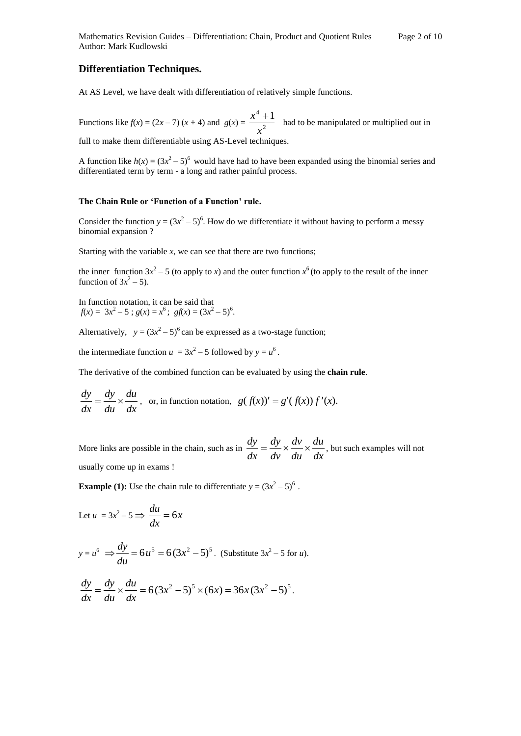### **Differentiation Techniques.**

At AS Level, we have dealt with differentiation of relatively simple functions.

Functions like  $f(x) = (2x - 7)(x + 4)$  and  $g(x) = \frac{1}{x^2}$  $^4$  + 1 *x*  $\frac{x^4 + 1}{x^2}$  had to be manipulated or multiplied out in full to make them differentiable using AS-Level techniques.

A function like  $h(x) = (3x^2 - 5)^6$  would have had to have been expanded using the binomial series and differentiated term by term - a long and rather painful process.

#### **The Chain Rule or 'Function of a Function' rule.**

Consider the function  $y = (3x^2 - 5)^6$ . How do we differentiate it without having to perform a messy binomial expansion ?

Starting with the variable  $x$ , we can see that there are two functions;

the inner function  $3x^2 - 5$  (to apply to *x*) and the outer function  $x^6$  (to apply to the result of the inner function of  $3x^2 - 5$ ).

In function notation, it can be said that  $f(x) = 3x^2 - 5$ ;  $g(x) = x^6$ ;  $gf(x) = (3x^2 - 5)^6$ .

Alternatively,  $y = (3x^2 - 5)^6$  can be expressed as a two-stage function;

the intermediate function  $u = 3x^2 - 5$  followed by  $y = u^6$ .

The derivative of the combined function can be evaluated by using the **chain rule**.

$$
\frac{dy}{dx} = \frac{dy}{du} \times \frac{du}{dx}
$$
, or, in function notation,  $g(f(x))' = g'(f(x)) f'(x)$ .

More links are possible in the chain, such as in  $\frac{dy}{dx} = \frac{dy}{dv} \times \frac{du}{du} \times \frac{du}{dx}$ *du du dv dv dy dx*  $\frac{dy}{dx} = \frac{dy}{dx} \times \frac{dv}{dx} \times \frac{du}{dx}$ , but such examples will not usually come up in exams !

**Example (1):** Use the chain rule to differentiate  $y = (3x^2 - 5)^6$ .

$$
Let u = 3x^2 - 5 \Longrightarrow \frac{du}{dx} = 6x
$$

$$
y = u^6 \implies \frac{dy}{du} = 6u^5 = 6(3x^2 - 5)^5
$$
. (Substitute 3x<sup>2</sup> – 5 for *u*).

$$
\frac{dy}{dx} = \frac{dy}{du} \times \frac{du}{dx} = 6(3x^2 - 5)^5 \times (6x) = 36x(3x^2 - 5)^5.
$$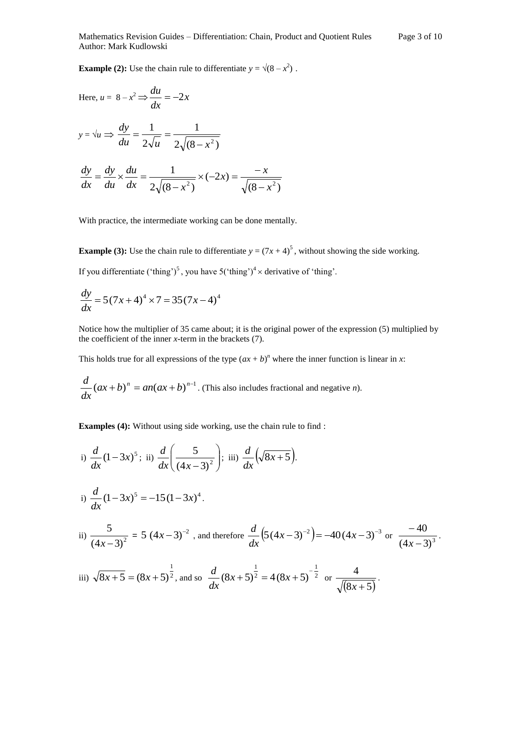**Example (2):** Use the chain rule to differentiate  $y = \sqrt{8 - x^2}$ .

Here, 
$$
u = 8 - x^2 \Rightarrow \frac{du}{dx} = -2x
$$
  
\n $y = \sqrt{u} \Rightarrow \frac{dy}{du} = \frac{1}{2\sqrt{u}} = \frac{1}{2\sqrt{(8 - x^2)}}$   
\n $\frac{dy}{dx} = \frac{dy}{du} \times \frac{du}{dx} = \frac{1}{2\sqrt{(8 - x^2)}} \times (-2x) = \frac{-x}{\sqrt{(8 - x^2)}}$ 

With practice, the intermediate working can be done mentally.

**Example (3):** Use the chain rule to differentiate  $y = (7x + 4)^5$ , without showing the side working. If you differentiate ('thing')<sup>5</sup>, you have  $5('thing')^4 \times$  derivative of 'thing'.

$$
\frac{dy}{dx} = 5(7x+4)^4 \times 7 = 35(7x-4)^4
$$

Notice how the multiplier of 35 came about; it is the original power of the expression (5) multiplied by the coefficient of the inner *x-*term in the brackets (7).

This holds true for all expressions of the type  $(ax + b)^n$  where the inner function is linear in *x*:

$$
\frac{d}{dx}(ax+b)^n = an(ax+b)^{n-1}
$$
. (This also includes fractional and negative n).

**Examples (4):** Without using side working, use the chain rule to find :

i) 
$$
\frac{d}{dx}(1-3x)^5
$$
; ii)  $\frac{d}{dx}(\frac{5}{(4x-3)^2})$ ; iii)  $\frac{d}{dx}(\sqrt{8x+5})$ .  
\nii)  $\frac{d}{dx}(1-3x)^5 = -15(1-3x)^4$ .  
\niii)  $\frac{5}{(4x-3)^2} = 5(4x-3)^{-2}$ , and therefore  $\frac{d}{dx}(5(4x-3)^{-2}) = -40(4x-3)^{-3}$  or  $\frac{-40}{(4x-3)^3}$ .

iii) 
$$
\sqrt{8x+5} = (8x+5)^{\frac{1}{2}}
$$
, and so  $\frac{d}{dx}(8x+5)^{\frac{1}{2}} = 4(8x+5)^{-\frac{1}{2}}$  or  $\frac{4}{\sqrt{(8x+5)}}$ .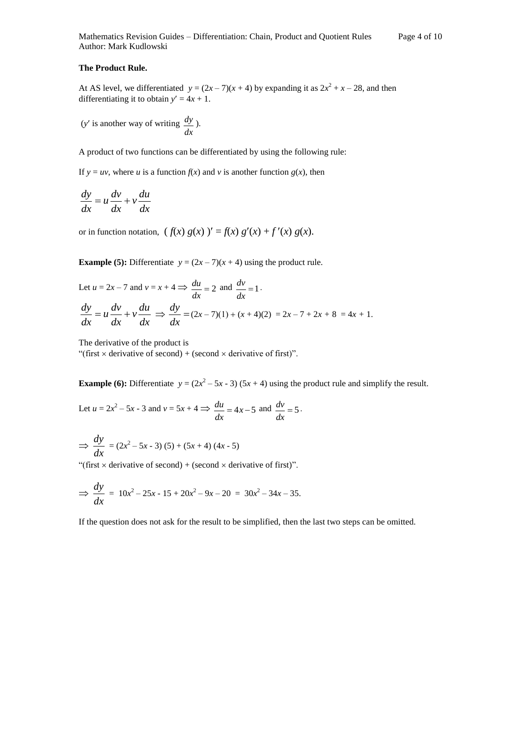#### **The Product Rule.**

At AS level, we differentiated  $y = (2x - 7)(x + 4)$  by expanding it as  $2x^2 + x - 28$ , and then differentiating it to obtain  $y' = 4x + 1$ .

(*y*is another way of writing *dx*  $\frac{dy}{dx}$ ).

A product of two functions can be differentiated by using the following rule:

If  $y = uv$ , where *u* is a function  $f(x)$  and *v* is another function  $g(x)$ , then

$$
\frac{dy}{dx} = u\frac{dv}{dx} + v\frac{du}{dx}
$$

or in function notation,  $(f(x) g(x))' = f(x) g'(x) + f'(x) g(x)$ .

**Example (5):** Differentiate  $y = (2x - 7)(x + 4)$  using the product rule.

Let 
$$
u = 2x - 7
$$
 and  $v = x + 4 \implies \frac{du}{dx} = 2$  and  $\frac{dv}{dx} = 1$ .  
\n
$$
\frac{dy}{dx} = u \frac{dv}{dx} + v \frac{du}{dx} \implies \frac{dy}{dx} = (2x - 7)(1) + (x + 4)(2) = 2x - 7 + 2x + 8 = 4x + 1.
$$

The derivative of the product is

"(first  $\times$  derivative of second) + (second  $\times$  derivative of first)".

**Example (6):** Differentiate  $y = (2x^2 - 5x - 3) (5x + 4)$  using the product rule and simplify the result.

Let  $u = 2x^2 - 5x - 3$  and  $v = 5x + 4 \implies \frac{du}{dx} = 4x - 5$ *dx*  $\frac{du}{dx} = 4x - 5$  and  $\frac{dv}{dx} = 5$ *dx*  $\frac{dv}{dx} = 5$ .

$$
\Rightarrow \frac{dy}{dx} = (2x^2 - 5x - 3)(5) + (5x + 4)(4x - 5)
$$

"(first  $\times$  derivative of second) + (second  $\times$  derivative of first)".

$$
\Rightarrow \frac{dy}{dx} = 10x^2 - 25x - 15 + 20x^2 - 9x - 20 = 30x^2 - 34x - 35.
$$

If the question does not ask for the result to be simplified, then the last two steps can be omitted.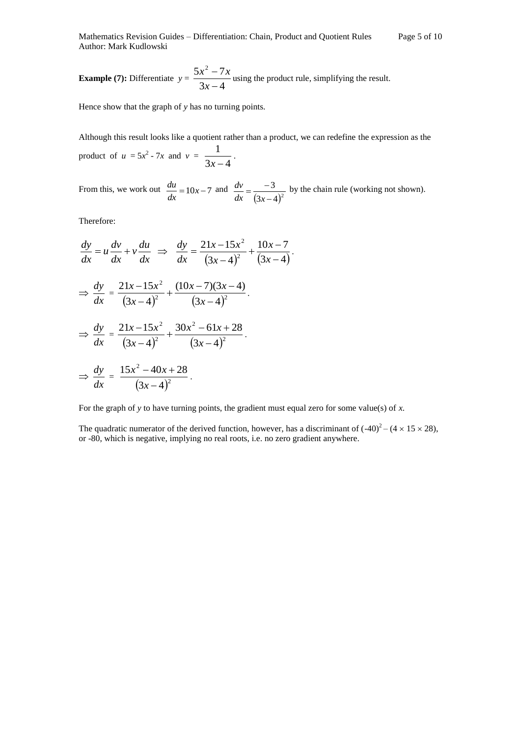Mathematics Revision Guides – Differentiation: Chain, Product and Quotient Rules Page 5 of 10 Author: Mark Kudlowski

**Example (7):** Differentiate 
$$
y = \frac{5x^2 - 7x}{3x - 4}
$$
 using the product rule, simplifying the result.

Hence show that the graph of *y* has no turning points.

Although this result looks like a quotient rather than a product, we can redefine the expression as the product of  $u = 5x^2 - 7x$  and  $v = \frac{1}{3x - 4}$ 1  $\frac{1}{x-4}$ .

From this, we work out  $\frac{du}{dx} = 10x - 7$ *dx*  $\frac{du}{dx} = 10x - 7$  and  $(3x-4)^2$ 3  $\overline{a}$  $=\frac{1}{\sqrt{2}}$ *dx*  $(3x)$  $\frac{dv}{dt} = \frac{-3}{-3}$  by the chain rule (working not shown).

Therefore:

$$
\frac{dy}{dx} = u \frac{dv}{dx} + v \frac{du}{dx} \implies \frac{dy}{dx} = \frac{21x - 15x^2}{(3x - 4)^2} + \frac{10x - 7}{(3x - 4)}.
$$
  

$$
\implies \frac{dy}{dx} = \frac{21x - 15x^2}{(3x - 4)^2} + \frac{(10x - 7)(3x - 4)}{(3x - 4)^2}.
$$
  

$$
\implies \frac{dy}{dx} = \frac{21x - 15x^2}{(3x - 4)^2} + \frac{30x^2 - 61x + 28}{(3x - 4)^2}.
$$
  

$$
\implies \frac{dy}{dx} = \frac{15x^2 - 40x + 28}{(3x - 4)^2}.
$$

For the graph of *y* to have turning points, the gradient must equal zero for some value(s) of *x.* 

The quadratic numerator of the derived function, however, has a discriminant of  $(-40)^2 - (4 \times 15 \times 28)$ , or -80, which is negative, implying no real roots, i.e. no zero gradient anywhere.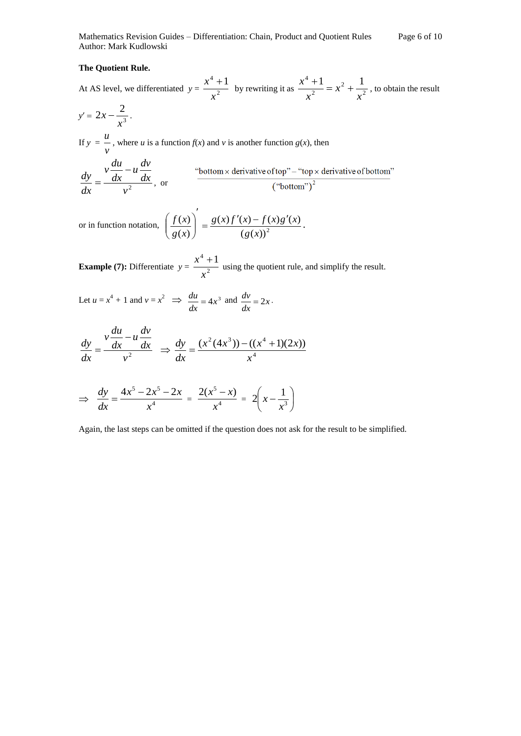Mathematics Revision Guides – Differentiation: Chain, Product and Quotient Rules Page 6 of 10 Author: Mark Kudlowski

#### **The Quotient Rule.**

At AS level, we differentiated  $y = \frac{x^2}{a^2}$  $^{4}+1$ *x*  $\frac{x^4+1}{x^2}$  by rewriting it as  $\frac{x^4+1}{x^2} = x^2 + \frac{1}{x^2}$ 2 2  $^{4}+1$   $_{2}$  1 *x x x*  $\frac{x^4+1}{x^2} = x^2 + \frac{1}{x^2}$ , to obtain the result

$$
y'=2x-\frac{2}{x^3}.
$$

If  $y =$ *v u*, where *u* is a function  $f(x)$  and *v* is another function  $g(x)$ , then

$$
\frac{dy}{dx} = \frac{v\frac{du}{dx} - u\frac{dv}{dx}}{v^2}
$$
, or  $\frac{v}{(v \cdot v)}$ 

or in function notation,  $\left(\frac{f(x)}{g(x)}\right) = \frac{g(x)f(x)}{(g(x))^2}$  $(x) f'(x) - f(x) g'(x)$  $(x)$  $(x)$ *g x*  $g(x)f'(x) - f(x)g'(x)$ *g x*  $\frac{f(x)}{f(x)} = \frac{g(x)f'(x) - f(x)g'(x)}{g(x)}$  $\overline{\phantom{a}}$  $\overline{\phantom{a}}$ J  $\setminus$  $\overline{\phantom{a}}$  $\setminus$  $\left(\frac{f(x)}{g(x)}\right) = \frac{g(x)f'(x) - f(x)g'(x)}{g(x)}$ .

**Example (7):** Differentiate  $y = \frac{x^2}{x^2}$  $^{4}+1$ *x*  $\frac{x^4 + 1}{x^2}$  using the quotient rule, and simplify the result.

Let 
$$
u = x^4 + 1
$$
 and  $v = x^2 \implies \frac{du}{dx} = 4x^3$  and  $\frac{dv}{dx} = 2x$ .

$$
\frac{dy}{dx} = \frac{v\frac{du}{dx} - u\frac{dv}{dx}}{v^2} \implies \frac{dy}{dx} = \frac{(x^2(4x^3)) - ((x^4 + 1)(2x))}{x^4}
$$

$$
\Rightarrow \frac{dy}{dx} = \frac{4x^5 - 2x^5 - 2x}{x^4} = \frac{2(x^5 - x)}{x^4} = 2\left(x - \frac{1}{x^3}\right)
$$

Again, the last steps can be omitted if the question does not ask for the result to be simplified.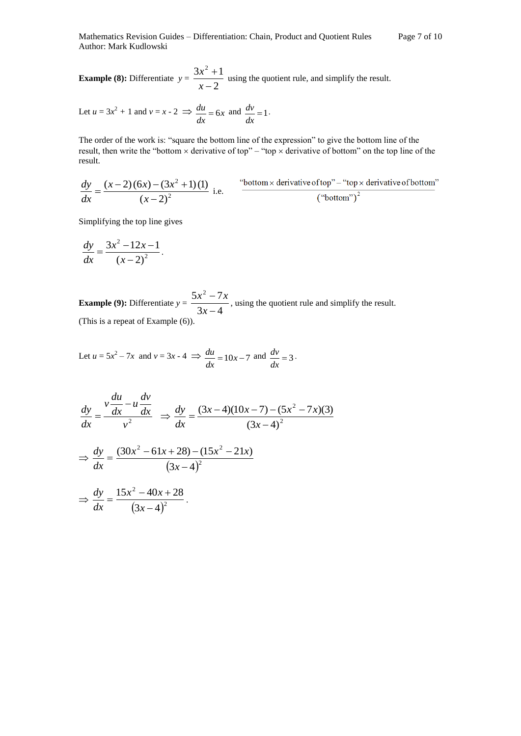**Example (8):** Differentiate  $y = \frac{3x-2}{x-2}$  $3x^2 + 1$  $\overline{a}$  $^{+}$ *x*  $\frac{x^2+1}{x}$  using the quotient rule, and simplify the result.

Let 
$$
u = 3x^2 + 1
$$
 and  $v = x - 2 \implies \frac{du}{dx} = 6x$  and  $\frac{dv}{dx} = 1$ .

The order of the work is: "square the bottom line of the expression" to give the bottom line of the result, then write the "bottom  $\times$  derivative of top" – "top  $\times$  derivative of bottom" on the top line of the result.

$$
\frac{dy}{dx} = \frac{(x-2)(6x) - (3x^2 + 1)(1)}{(x-2)^2}
$$
 i.e. "bottom × derivative of top" - "top × derivative of bottom" ("bottom")<sup>2</sup>

Simplifying the top line gives

$$
\frac{dy}{dx} = \frac{3x^2 - 12x - 1}{(x - 2)^2}.
$$

**Example (9):** Differentiate  $y = \frac{3x-4}{3x-4}$  $5x^2 - 7$  $\overline{a}$ *x*  $\frac{x^2 - 7x}{\cdot}$ , using the quotient rule and simplify the result. (This is a repeat of Example (6)).

Let 
$$
u = 5x^2 - 7x
$$
 and  $v = 3x - 4 \implies \frac{du}{dx} = 10x - 7$  and  $\frac{dv}{dx} = 3$ .

$$
\frac{dy}{dx} = \frac{v\frac{du}{dx} - u\frac{dv}{dx}}{v^2} \implies \frac{dy}{dx} = \frac{(3x - 4)(10x - 7) - (5x^2 - 7x)(3)}{(3x - 4)^2}
$$

$$
\implies \frac{dy}{dx} = \frac{(30x^2 - 61x + 28) - (15x^2 - 21x)}{(3x - 4)^2}
$$

$$
\implies \frac{dy}{dx} = \frac{15x^2 - 40x + 28}{(3x - 4)^2}.
$$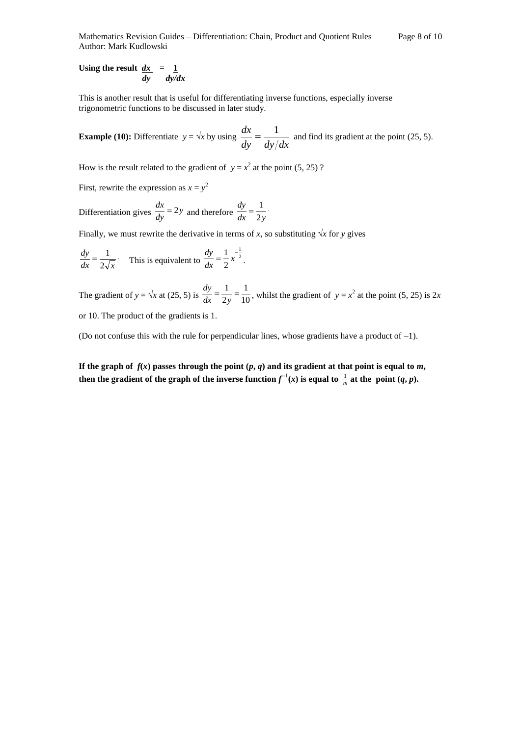Mathematics Revision Guides – Differentiation: Chain, Product and Quotient Rules Page 8 of 10 Author: Mark Kudlowski

Using the result  $dx = 1$  *dy dy/dx*

This is another result that is useful for differentiating inverse functions, especially inverse trigonometric functions to be discussed in later study.

**Example (10):** Differentiate  $y = \sqrt{x}$  by using *dy dy dx*  $\frac{dx}{dt} = \frac{1}{\sqrt{1 - x^2}}$  and find its gradient at the point (25, 5).

How is the result related to the gradient of  $y = x^2$  at the point (5, 25)?

First, rewrite the expression as  $x = y^2$ 

Differentiation gives  $\frac{dx}{dy} = 2y$  $\frac{dx}{dy} = 2y$  and therefore  $\frac{dy}{dx} = \frac{1}{2y}$ *dy* 2  $=\frac{1}{2}$ .

Finally, we must rewrite the derivative in terms of *x*, so substituting  $\sqrt{x}$  for *y* gives

*dx*  $2\sqrt{x}$ *dy* 2  $=\frac{1}{2\pi}$ . This is equivalent to  $\frac{dy}{dx}=\frac{1}{2}x^{-\frac{1}{2}}$ 1 2  $\frac{dy}{dx} = \frac{1}{2}x^{-}$ *dy* .

The gradient of  $y = \sqrt{x}$  at (25, 5) is  $\frac{dy}{dx} = \frac{1}{2y} = \frac{1}{10}$ 1 2  $=\frac{1}{1}$  $dx$  2y *dy* , whilst the gradient of  $y = x^2$  at the point (5, 25) is 2*x* or 10. The product of the gradients is 1.

(Do not confuse this with the rule for perpendicular lines, whose gradients have a product of  $-1$ ).

If the graph of  $f(x)$  passes through the point  $(p, q)$  and its gradient at that point is equal to  $m$ , **then the gradient of the graph of the inverse function**  $f^{-1}(x)$  **is equal to**  $\frac{1}{m}$  **at the point**  $(q, p)$ **.**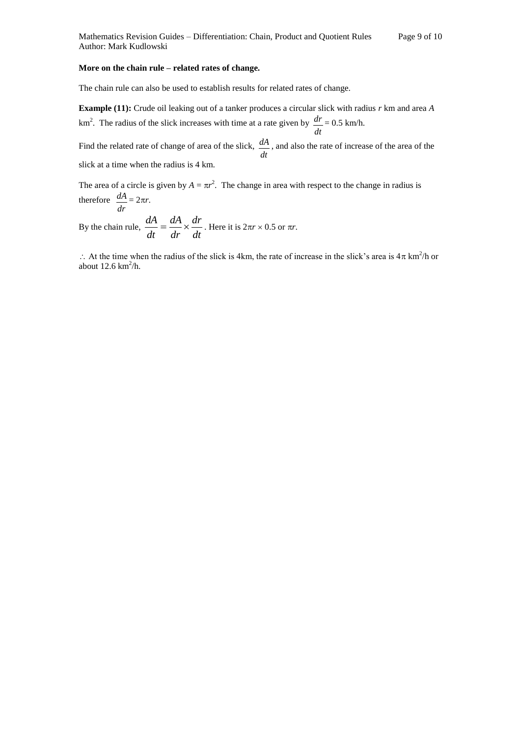#### **More on the chain rule – related rates of change.**

The chain rule can also be used to establish results for related rates of change.

**Example (11):** Crude oil leaking out of a tanker produces a circular slick with radius *r* km and area *A*   $km<sup>2</sup>$ . The radius of the slick increases with time at a rate given by *dt*  $\frac{dr}{r} = 0.5 \text{ km/h}.$ 

Find the related rate of change of area of the slick, *dt dA* , and also the rate of increase of the area of the slick at a time when the radius is 4 km.

The area of a circle is given by  $A = \pi r^2$ . The change in area with respect to the change in radius is therefore  $\frac{dA}{dt} = 2\pi r$ .

*dr* By the chain rule,  $\frac{d\mathbf{r}}{dt} = \frac{d\mathbf{r}}{dr} \times \frac{d\mathbf{r}}{dt}$ *dr dr dA dt*  $\frac{dA}{dt} = \frac{dA}{dt} \times \frac{dr}{dt}$ . Here it is  $2\pi r \times 0.5$  or  $\pi r$ .

 $\therefore$  At the time when the radius of the slick is 4km, the rate of increase in the slick's area is  $4\pi$  km<sup>2</sup>/h or about  $12.6 \text{ km}^2/\text{h}$ .